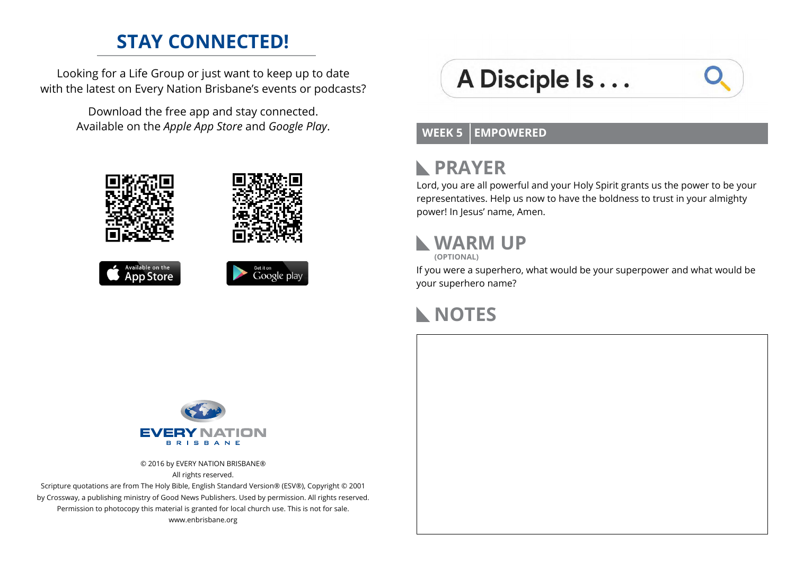### **STAY CONNECTED!**

Looking for a Life Group or just want to keep up to date with the latest on Every Nation Brisbane's events or podcasts?

> Download the free app and stay connected. Available on the *Apple App Store* and *Google Play*.









# A Disciple Is...

#### **WEEK 5 EMPOWERED**

#### **PRAYER**  $\mathbf{L}$

Lord, you are all powerful and your Holy Spirit grants us the power to be your representatives. Help us now to have the boldness to trust in your almighty power! In Jesus' name, Amen.

### **WARM UP**

**(OPTIONAL)**

If you were a superhero, what would be your superpower and what would be your superhero name?

#### **NOTES**



© 2016 by EVERY NATION BRISBANE® All rights reserved.

Scripture quotations are from The Holy Bible, English Standard Version® (ESV®), Copyright © 2001 by Crossway, a publishing ministry of Good News Publishers. Used by permission. All rights reserved. Permission to photocopy this material is granted for local church use. This is not for sale. www.enbrisbane.org